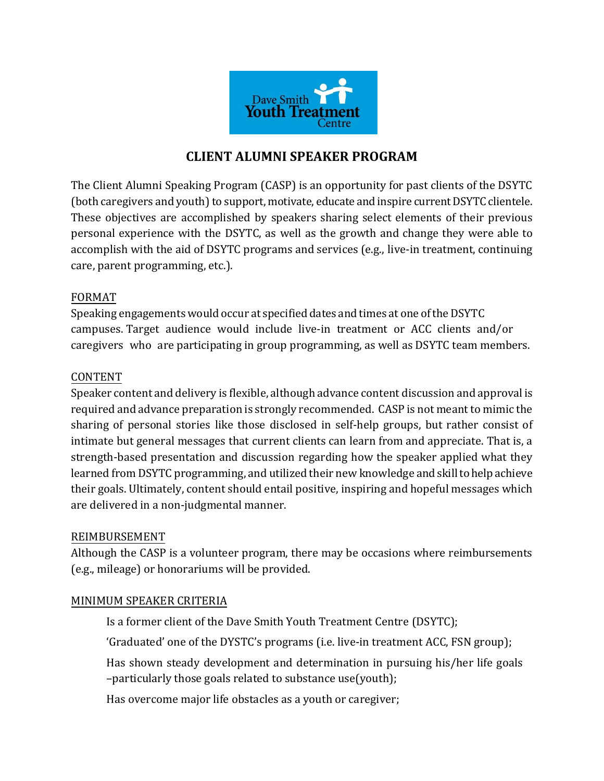

# **CLIENT ALUMNI SPEAKER PROGRAM**

The Client Alumni Speaking Program (CASP) is an opportunity for past clients of the DSYTC (both caregivers and youth) to support, motivate, educate and inspire current DSYTC clientele. These objectives are accomplished by speakers sharing select elements of their previous personal experience with the DSYTC, as well as the growth and change they were able to accomplish with the aid of DSYTC programs and services (e.g., live-in treatment, continuing care, parent programming, etc.).

#### FORMAT

Speaking engagements would occur at specified dates and times at one of the DSYTC campuses. Target audience would include live-in treatment or ACC clients and/or caregivers who are participating in group programming, as well as DSYTC team members.

### CONTENT

Speaker content and delivery is flexible, although advance content discussion and approval is required and advance preparation is strongly recommended. CASP is not meant to mimic the sharing of personal stories like those disclosed in self-help groups, but rather consist of intimate but general messages that current clients can learn from and appreciate. That is, a strength-based presentation and discussion regarding how the speaker applied what they learned from DSYTC programming, and utilized their new knowledge and skill to help achieve their goals. Ultimately, content should entail positive, inspiring and hopeful messages which are delivered in a non-judgmental manner.

#### REIMBURSEMENT

Although the CASP is a volunteer program, there may be occasions where reimbursements (e.g., mileage) or honorariums will be provided.

#### MINIMUM SPEAKER CRITERIA

Is a former client of the Dave Smith Youth Treatment Centre (DSYTC);

'Graduated' one of the DYSTC's programs (i.e. live-in treatment ACC, FSN group);

Has shown steady development and determination in pursuing his/her life goals –particularly those goals related to substance use(youth);

Has overcome major life obstacles as a youth or caregiver;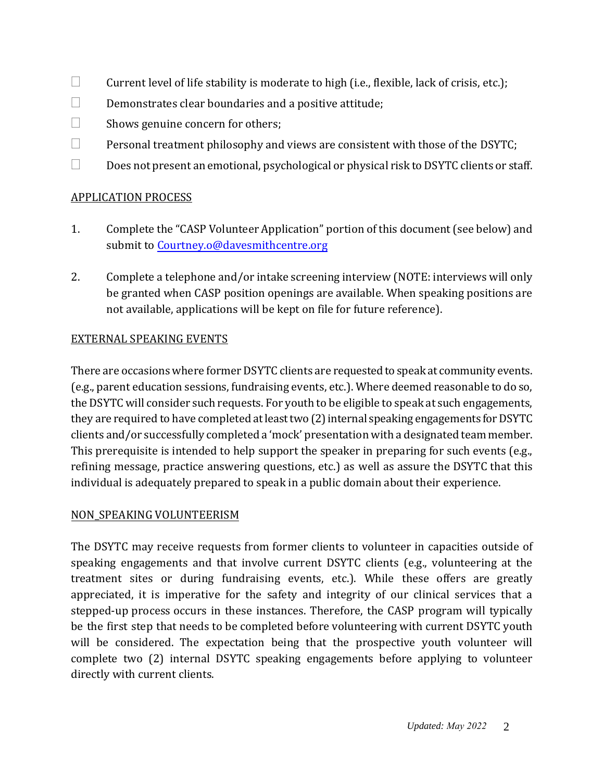- $\Box$  Current level of life stability is moderate to high (i.e., flexible, lack of crisis, etc.);
- $\square$  Demonstrates clear boundaries and a positive attitude;
- $\Box$  Shows genuine concern for others;
- $\Box$  Personal treatment philosophy and views are consistent with those of the DSYTC;
- $\square$  Does not present an emotional, psychological or physical risk to DSYTC clients or staff.

## APPLICATION PROCESS

- 1. Complete the "CASP Volunteer Application" portion of this document (see below) and submit to [Courtney.o@davesmithcentre.org](mailto:courtney.o@davesmithcentre.org)
- 2. Complete a telephone and/or intake screening interview (NOTE: interviews will only be granted when CASP position openings are available. When speaking positions are not available, applications will be kept on file for future reference).

## EXTERNAL SPEAKING EVENTS

There are occasions where former DSYTC clients are requested to speak at community events. (e.g., parent education sessions, fundraising events, etc.). Where deemed reasonable to do so, the DSYTC will consider such requests. For youth to be eligible to speak at such engagements, they are required to have completed at least two (2) internal speaking engagements for DSYTC clients and/or successfully completed a 'mock' presentation with a designated team member. This prerequisite is intended to help support the speaker in preparing for such events (e.g., refining message, practice answering questions, etc.) as well as assure the DSYTC that this individual is adequately prepared to speak in a public domain about their experience.

## NON\_SPEAKING VOLUNTEERISM

The DSYTC may receive requests from former clients to volunteer in capacities outside of speaking engagements and that involve current DSYTC clients (e.g., volunteering at the treatment sites or during fundraising events, etc.). While these offers are greatly appreciated, it is imperative for the safety and integrity of our clinical services that a stepped-up process occurs in these instances. Therefore, the CASP program will typically be the first step that needs to be completed before volunteering with current DSYTC youth will be considered. The expectation being that the prospective youth volunteer will complete two (2) internal DSYTC speaking engagements before applying to volunteer directly with current clients.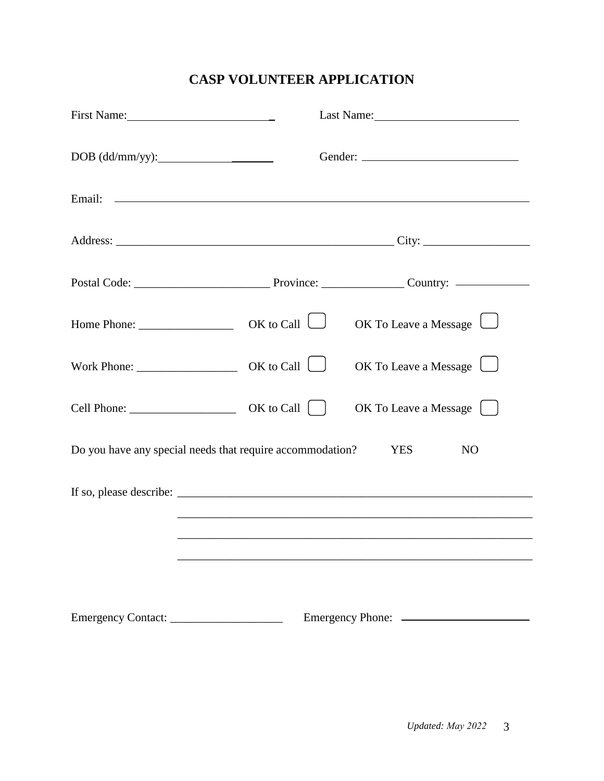# **CASP VOLUNTEER APPLICATION**

| First Name:                                                                               | Last Name: |                       |
|-------------------------------------------------------------------------------------------|------------|-----------------------|
|                                                                                           |            |                       |
|                                                                                           |            |                       |
|                                                                                           |            |                       |
|                                                                                           |            |                       |
|                                                                                           |            | OK To Leave a Message |
|                                                                                           |            | OK To Leave a Message |
|                                                                                           |            | OK To Leave a Message |
| Do you have any special needs that require accommodation?<br><b>YES</b><br>N <sub>O</sub> |            |                       |
|                                                                                           |            |                       |
|                                                                                           |            |                       |
|                                                                                           |            |                       |
| Emergency Contact:                                                                        |            |                       |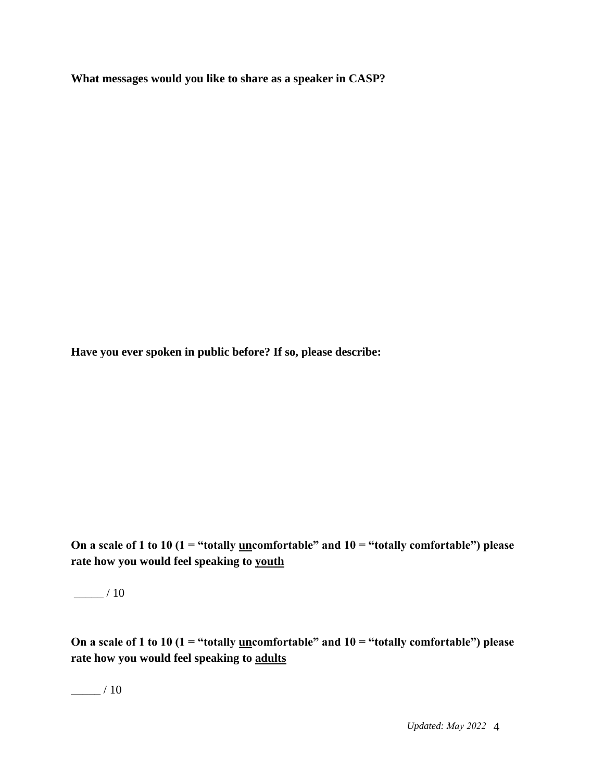**What messages would you like to share as a speaker in CASP?** 

**Have you ever spoken in public before? If so, please describe:** 

**On a scale of 1 to 10 (1 = "totally uncomfortable" and 10 = "totally comfortable") please rate how you would feel speaking to youth** 

 $-$  / 10

**On a scale of 1 to 10 (1 = "totally uncomfortable" and 10 = "totally comfortable") please rate how you would feel speaking to adults** 

 $\frac{1}{2}$  / 10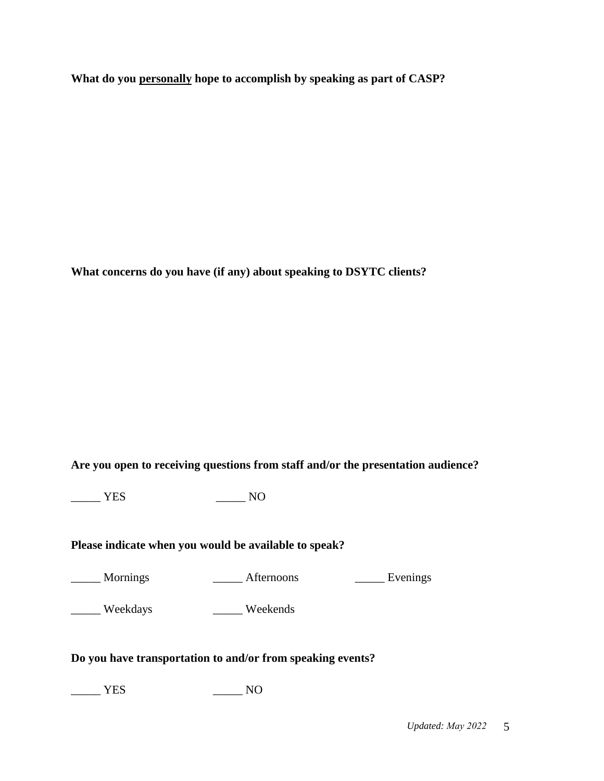**What do you personally hope to accomplish by speaking as part of CASP?**

**What concerns do you have (if any) about speaking to DSYTC clients?** 

**Are you open to receiving questions from staff and/or the presentation audience?** 

\_\_\_\_\_ YES \_\_\_\_\_ NO

#### **Please indicate when you would be available to speak?**

\_\_\_\_\_ Mornings \_\_\_\_\_ Afternoons \_\_\_\_\_ Evenings

\_\_\_\_\_ Weekdays \_\_\_\_\_ Weekends

### **Do you have transportation to and/or from speaking events?**

\_\_\_\_\_ YES \_\_\_\_\_ NO